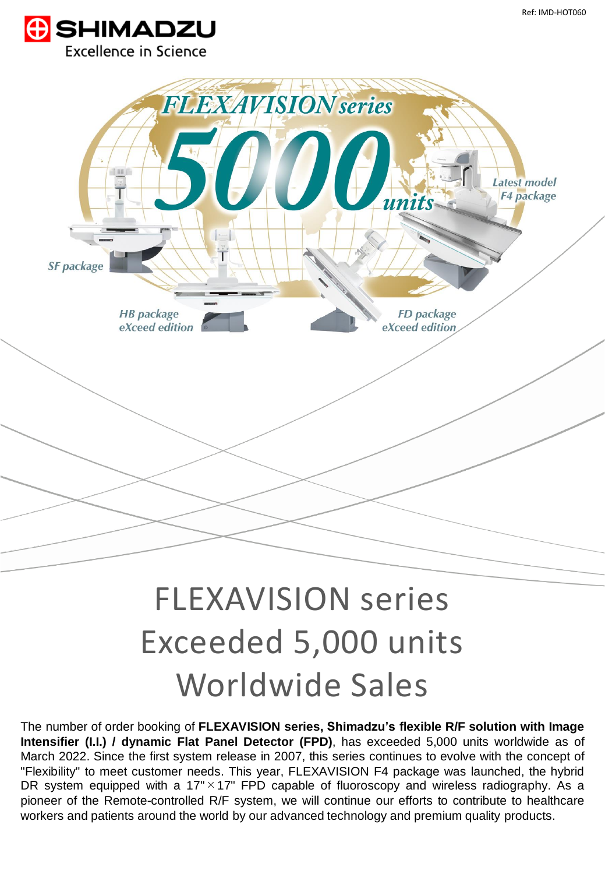



## FLEXAVISION series Exceeded 5,000 units Worldwide Sales

The number of order booking of **FLEXAVISION series, Shimadzu's flexible R/F solution with Image Intensifier (I.I.) / dynamic Flat Panel Detector (FPD)**, has exceeded 5,000 units worldwide as of March 2022. Since the first system release in 2007, this series continues to evolve with the concept of "Flexibility" to meet customer needs. This year, FLEXAVISION F4 package was launched, the hybrid DR system equipped with a 17" $\times$ 17" FPD capable of fluoroscopy and wireless radiography. As a pioneer of the Remote-controlled R/F system, we will continue our efforts to contribute to healthcare workers and patients around the world by our advanced technology and premium quality products.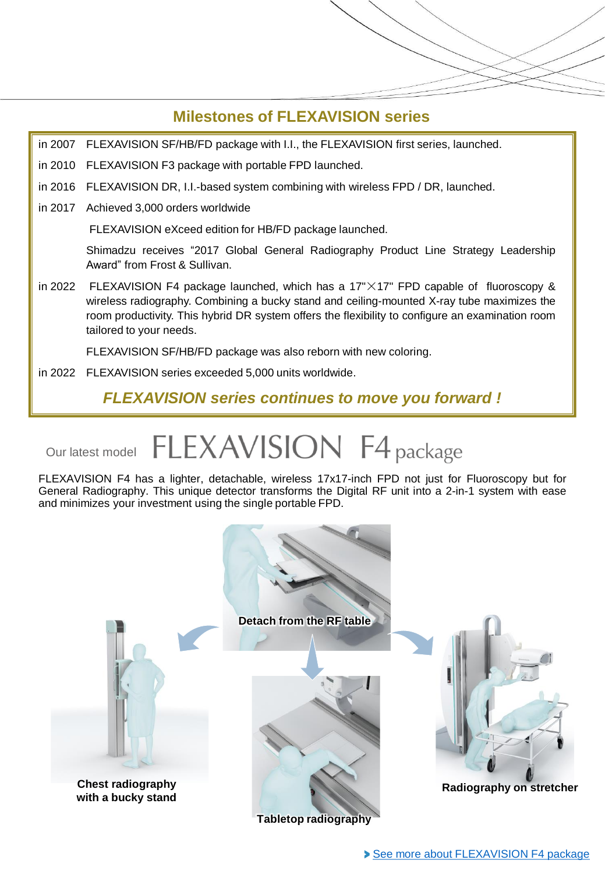## **Milestones of FLEXAVISION series**

in 2007 FLEXAVISION SF/HB/FD package with I.I., the FLEXAVISION first series, launched.

- in 2010 FLEXAVISION F3 package with portable FPD launched.
- in 2016 FLEXAVISION DR, I.I.-based system combining with wireless FPD / DR, launched.
- in 2017 Achieved 3,000 orders worldwide

FLEXAVISION eXceed edition for HB/FD package launched.

Shimadzu receives "2017 Global General Radiography Product Line Strategy Leadership Award" from Frost & Sullivan.

in 2022 FLEXAVISION F4 package launched, which has a  $17'' \times 17''$  FPD capable of fluoroscopy & wireless radiography. Combining a bucky stand and ceiling-mounted X-ray tube maximizes the room productivity. This hybrid DR system offers the flexibility to configure an examination room tailored to your needs.

FLEXAVISION SF/HB/FD package was also reborn with new coloring.

in 2022 FLEXAVISION series exceeded 5,000 units worldwide.

*FLEXAVISION series continues to move you forward !*

## FLEXAVISION F4 package Our latest model

FLEXAVISION F4 has a lighter, detachable, wireless 17x17-inch FPD not just for Fluoroscopy but for General Radiography. This unique detector transforms the Digital RF unit into a 2-in-1 system with ease and minimizes your investment using the single portable FPD.